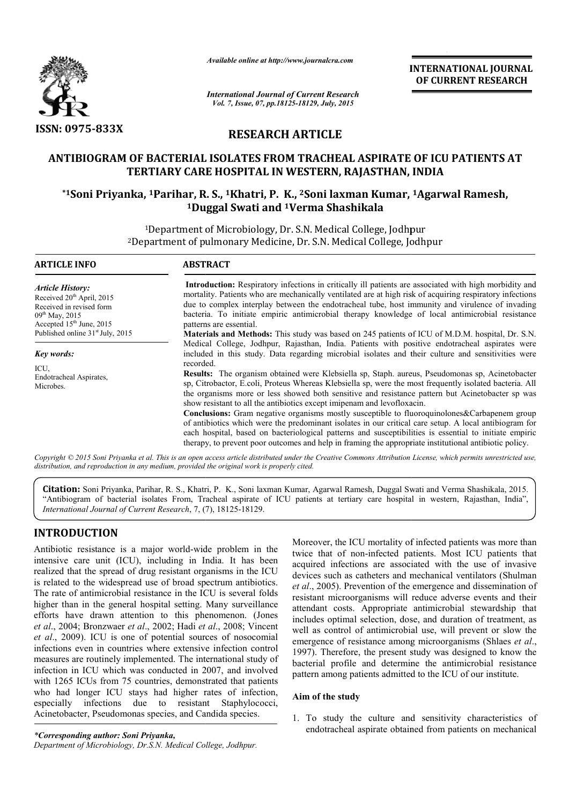

*Available online at http://www.journalcra.com*

## RESEARCH ARTICLE

# ANTIBIOGRAM OF BACTERIAL ISOLATES FROM TRACHEAL ASPIRATE OF ICU PATIENTS AT TERTIARY CARE HOSPITAL IN WESTERN, RAJASTHAN, INDIA TIBIOGRAM OF BACTERIAL ISOLATES FROM TRACHEAL ASPIRATE OF ICU PATIENTS /<br>TERTIARY CARE HOSPITAL IN WESTERN, RAJASTHAN, INDIA<br>150ni Priyanka, 1Parihar, R. S., 1Khatri, P. K., <sup>2</sup>Soni laxman Kumar, 1Agarwal Ramesh,\*

# <sup>1</sup>Duggal Swati and <sup>1</sup>Verma Shashikala

|                                                                                                                                                                                                                                                                                                                                                                                                                                                                                                                                                                                                                                                                                                                                                                                                                                                                                                                                                                                                                                                          | unuvic viime ui nup.//www.jvurnuicru.com | <b>INTERNATIONAL JOURNAL</b><br>OF CURRENT RESEARCH                                                                                                                                                                                                                                                                                                                                                                                                                                                                                                                                                                                                                                                                                                                                                                                                                                                                                                                                                                                                                                                                                                                                                                                                                                                                                                                                                                                                                                                                                                                                                                                                                                                                                                                                                                                                                                                                                                                                                                                                                                                                                                                                                                                                                                                                                                                                                                                                                                                                                                                                                                                                                                                                                                              |
|----------------------------------------------------------------------------------------------------------------------------------------------------------------------------------------------------------------------------------------------------------------------------------------------------------------------------------------------------------------------------------------------------------------------------------------------------------------------------------------------------------------------------------------------------------------------------------------------------------------------------------------------------------------------------------------------------------------------------------------------------------------------------------------------------------------------------------------------------------------------------------------------------------------------------------------------------------------------------------------------------------------------------------------------------------|------------------------------------------|------------------------------------------------------------------------------------------------------------------------------------------------------------------------------------------------------------------------------------------------------------------------------------------------------------------------------------------------------------------------------------------------------------------------------------------------------------------------------------------------------------------------------------------------------------------------------------------------------------------------------------------------------------------------------------------------------------------------------------------------------------------------------------------------------------------------------------------------------------------------------------------------------------------------------------------------------------------------------------------------------------------------------------------------------------------------------------------------------------------------------------------------------------------------------------------------------------------------------------------------------------------------------------------------------------------------------------------------------------------------------------------------------------------------------------------------------------------------------------------------------------------------------------------------------------------------------------------------------------------------------------------------------------------------------------------------------------------------------------------------------------------------------------------------------------------------------------------------------------------------------------------------------------------------------------------------------------------------------------------------------------------------------------------------------------------------------------------------------------------------------------------------------------------------------------------------------------------------------------------------------------------------------------------------------------------------------------------------------------------------------------------------------------------------------------------------------------------------------------------------------------------------------------------------------------------------------------------------------------------------------------------------------------------------------------------------------------------------------------------------------------------|
|                                                                                                                                                                                                                                                                                                                                                                                                                                                                                                                                                                                                                                                                                                                                                                                                                                                                                                                                                                                                                                                          |                                          |                                                                                                                                                                                                                                                                                                                                                                                                                                                                                                                                                                                                                                                                                                                                                                                                                                                                                                                                                                                                                                                                                                                                                                                                                                                                                                                                                                                                                                                                                                                                                                                                                                                                                                                                                                                                                                                                                                                                                                                                                                                                                                                                                                                                                                                                                                                                                                                                                                                                                                                                                                                                                                                                                                                                                                  |
|                                                                                                                                                                                                                                                                                                                                                                                                                                                                                                                                                                                                                                                                                                                                                                                                                                                                                                                                                                                                                                                          |                                          |                                                                                                                                                                                                                                                                                                                                                                                                                                                                                                                                                                                                                                                                                                                                                                                                                                                                                                                                                                                                                                                                                                                                                                                                                                                                                                                                                                                                                                                                                                                                                                                                                                                                                                                                                                                                                                                                                                                                                                                                                                                                                                                                                                                                                                                                                                                                                                                                                                                                                                                                                                                                                                                                                                                                                                  |
|                                                                                                                                                                                                                                                                                                                                                                                                                                                                                                                                                                                                                                                                                                                                                                                                                                                                                                                                                                                                                                                          |                                          |                                                                                                                                                                                                                                                                                                                                                                                                                                                                                                                                                                                                                                                                                                                                                                                                                                                                                                                                                                                                                                                                                                                                                                                                                                                                                                                                                                                                                                                                                                                                                                                                                                                                                                                                                                                                                                                                                                                                                                                                                                                                                                                                                                                                                                                                                                                                                                                                                                                                                                                                                                                                                                                                                                                                                                  |
|                                                                                                                                                                                                                                                                                                                                                                                                                                                                                                                                                                                                                                                                                                                                                                                                                                                                                                                                                                                                                                                          |                                          |                                                                                                                                                                                                                                                                                                                                                                                                                                                                                                                                                                                                                                                                                                                                                                                                                                                                                                                                                                                                                                                                                                                                                                                                                                                                                                                                                                                                                                                                                                                                                                                                                                                                                                                                                                                                                                                                                                                                                                                                                                                                                                                                                                                                                                                                                                                                                                                                                                                                                                                                                                                                                                                                                                                                                                  |
| <b>ABSTRACT</b>                                                                                                                                                                                                                                                                                                                                                                                                                                                                                                                                                                                                                                                                                                                                                                                                                                                                                                                                                                                                                                          |                                          |                                                                                                                                                                                                                                                                                                                                                                                                                                                                                                                                                                                                                                                                                                                                                                                                                                                                                                                                                                                                                                                                                                                                                                                                                                                                                                                                                                                                                                                                                                                                                                                                                                                                                                                                                                                                                                                                                                                                                                                                                                                                                                                                                                                                                                                                                                                                                                                                                                                                                                                                                                                                                                                                                                                                                                  |
| patterns are essential.<br>recorded.                                                                                                                                                                                                                                                                                                                                                                                                                                                                                                                                                                                                                                                                                                                                                                                                                                                                                                                                                                                                                     |                                          |                                                                                                                                                                                                                                                                                                                                                                                                                                                                                                                                                                                                                                                                                                                                                                                                                                                                                                                                                                                                                                                                                                                                                                                                                                                                                                                                                                                                                                                                                                                                                                                                                                                                                                                                                                                                                                                                                                                                                                                                                                                                                                                                                                                                                                                                                                                                                                                                                                                                                                                                                                                                                                                                                                                                                                  |
|                                                                                                                                                                                                                                                                                                                                                                                                                                                                                                                                                                                                                                                                                                                                                                                                                                                                                                                                                                                                                                                          |                                          |                                                                                                                                                                                                                                                                                                                                                                                                                                                                                                                                                                                                                                                                                                                                                                                                                                                                                                                                                                                                                                                                                                                                                                                                                                                                                                                                                                                                                                                                                                                                                                                                                                                                                                                                                                                                                                                                                                                                                                                                                                                                                                                                                                                                                                                                                                                                                                                                                                                                                                                                                                                                                                                                                                                                                                  |
| International Journal of Current Research, 7, (7), 18125-18129.                                                                                                                                                                                                                                                                                                                                                                                                                                                                                                                                                                                                                                                                                                                                                                                                                                                                                                                                                                                          |                                          |                                                                                                                                                                                                                                                                                                                                                                                                                                                                                                                                                                                                                                                                                                                                                                                                                                                                                                                                                                                                                                                                                                                                                                                                                                                                                                                                                                                                                                                                                                                                                                                                                                                                                                                                                                                                                                                                                                                                                                                                                                                                                                                                                                                                                                                                                                                                                                                                                                                                                                                                                                                                                                                                                                                                                                  |
| Antibiotic resistance is a major world-wide problem in the<br>intensive care unit (ICU), including in India. It has been<br>realized that the spread of drug resistant organisms in the ICU<br>is related to the widespread use of broad spectrum antibiotics.<br>The rate of antimicrobial resistance in the ICU is several folds<br>higher than in the general hospital setting. Many surveillance<br>efforts have drawn attention to this phenomenon. (Jones<br>et al., 2004; Bronzwaer et al., 2002; Hadi et al., 2008; Vincent<br>et al., 2009). ICU is one of potential sources of nosocomial<br>infections even in countries where extensive infection control<br>measures are routinely implemented. The international study of<br>infection in ICU which was conducted in 2007, and involved<br>with 1265 ICUs from 75 countries, demonstrated that patients<br>who had longer ICU stays had higher rates of infection,<br>especially infections due to resistant<br>Staphylococci,<br>Acinetobacter, Pseudomonas species, and Candida species. | Aim of the study                         | Moreover, the ICU mortality of infected patients was more than<br>twice that of non-infected patients. Most ICU patients that<br>acquired infections are associated with the use of invasive<br>devices such as catheters and mechanical ventilators (Shulman<br>et al., 2005). Prevention of the emergence and dissemination of<br>resistant microorganisms will reduce adverse events and their<br>attendant costs. Appropriate antimicrobial stewardship that<br>includes optimal selection, dose, and duration of treatment, as<br>well as control of antimicrobial use, will prevent or slow the<br>emergence of resistance among microorganisms (Shlaes et al.,<br>1997). Therefore, the present study was designed to know the<br>bacterial profile and determine the antimicrobial resistance<br>pattern among patients admitted to the ICU of our institute.<br>1. To study the culture and sensitivity characteristics of<br>endotracheal aspirate obtained from patients on mechanical                                                                                                                                                                                                                                                                                                                                                                                                                                                                                                                                                                                                                                                                                                                                                                                                                                                                                                                                                                                                                                                                                                                                                                                                                                                                                                                                                                                                                                                                                                                                                                                                                                                                                                                                                                |
|                                                                                                                                                                                                                                                                                                                                                                                                                                                                                                                                                                                                                                                                                                                                                                                                                                                                                                                                                                                                                                                          |                                          | <b>International Journal of Current Research</b><br>Vol. 7, Issue, 07, pp.18125-18129, July, 2015<br><b>RESEARCH ARTICLE</b><br>ANTIBIOGRAM OF BACTERIAL ISOLATES FROM TRACHEAL ASPIRATE OF ICU PATIENTS AT<br>TERTIARY CARE HOSPITAL IN WESTERN, RAJASTHAN, INDIA<br>*1Soni Priyanka, <sup>1</sup> Parihar, R. S., <sup>1</sup> Khatri, P. K., <sup>2</sup> Soni laxman Kumar, <sup>1</sup> Agarwal Ramesh,<br><sup>1</sup> Duggal Swati and <sup>1</sup> Verma Shashikala<br><sup>1</sup> Department of Microbiology, Dr. S.N. Medical College, Jodhpur<br><sup>2</sup> Department of pulmonary Medicine, Dr. S.N. Medical College, Jodhpur<br>Introduction: Respiratory infections in critically ill patients are associated with high morbidity and<br>mortality. Patients who are mechanically ventilated are at high risk of acquiring respiratory infections<br>due to complex interplay between the endotracheal tube, host immunity and virulence of invading<br>bacteria. To initiate empiric antimicrobial therapy knowledge of local antimicrobial resistance<br>Materials and Methods: This study was based on 245 patients of ICU of M.D.M. hospital, Dr. S.N.<br>Medical College, Jodhpur, Rajasthan, India. Patients with positive endotracheal aspirates were<br>included in this study. Data regarding microbial isolates and their culture and sensitivities were<br>Results: The organism obtained were Klebsiella sp, Staph. aureus, Pseudomonas sp, Acinetobacter<br>sp, Citrobactor, E.coli, Proteus Whereas Klebsiella sp, were the most frequently isolated bacteria. All<br>the organisms more or less showed both sensitive and resistance pattern but Acinetobacter sp was<br>show resistant to all the antibiotics except imipenam and levofloxacin.<br>Conclusions: Gram negative organisms mostly susceptible to fluoroquinolones&Carbapenem group<br>of antibiotics which were the predominant isolates in our critical care setup. A local antibiogram for<br>each hospital, based on bacteriological patterns and susceptibilities is essential to initiate empiric<br>therapy, to prevent poor outcomes and help in framing the appropriate institutional antibiotic policy.<br>Copyright © 2015 Soni Priyanka et al. This is an open access article distributed under the Creative Commons Attribution License, which permits unrestricted use,<br>distribution, and reproduction in any medium, provided the original work is properly cited.<br>Citation: Soni Priyanka, Parihar, R. S., Khatri, P. K., Soni laxman Kumar, Agarwal Ramesh, Duggal Swati and Verma Shashikala, 2015.<br>"Antibiogram of bacterial isolates From, Tracheal aspirate of ICU patients at tertiary care hospital in western, Rajasthan, India", |

### INTRODUCTION

#### Aim of the study

*\*Corresponding author: Soni Priyanka, Department of Microbiology, Dr.S.N. Medical College, Jodhpur Jodhpur.*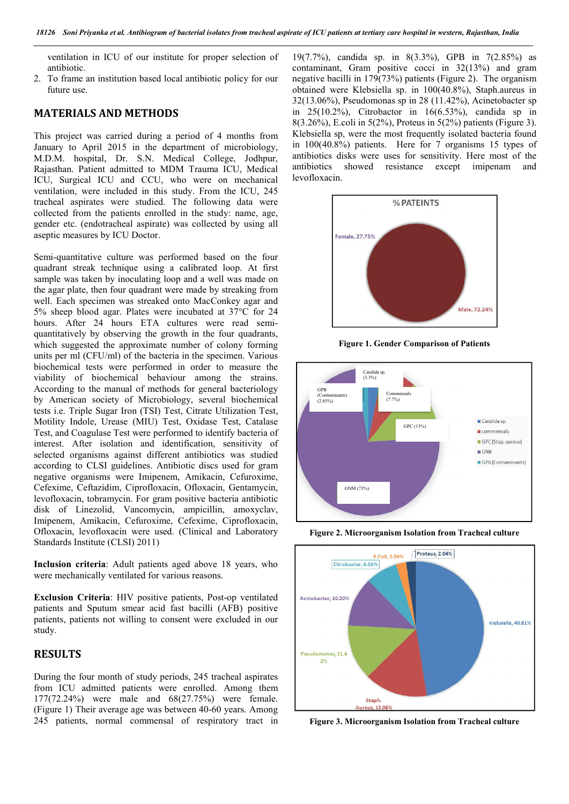ventilation in ICU of our institute for proper selection of antibiotic.

2. To frame an institution based local antibiotic policy for our future use.

#### MATERIALS AND METHODS

This project was carried during a period of 4 months from January to April 2015 in the department of microbiology, M.D.M. hospital, Dr. S.N. Medical College, Jodhpur, Rajasthan. Patient admitted to MDM Trauma ICU, Medical ICU, Surgical ICU and CCU, who were on mechanical ventilation, were included in this study. From the ICU, 245 tracheal aspirates were studied. The following data were collected from the patients enrolled in the study: name, age, gender etc. (endotracheal aspirate) was collected by using all aseptic measures by ICU Doctor.

Semi-quantitative culture was performed based on the four quadrant streak technique using a calibrated loop. At first sample was taken by inoculating loop and a well was made on the agar plate, then four quadrant were made by streaking from well. Each specimen was streaked onto MacConkey agar and 5% sheep blood agar. Plates were incubated at 37°C for 24 hours. After 24 hours ETA cultures were read semiquantitatively by observing the growth in the four quadrants, which suggested the approximate number of colony forming units per ml (CFU/ml) of the bacteria in the specimen. Various biochemical tests were performed in order to measure the viability of biochemical behaviour among the strains. According to the manual of methods for general bacteriology by American society of Microbiology, several biochemical tests i.e. Triple Sugar Iron (TSI) Test, Citrate Utilization Test, Motility Indole, Urease (MIU) Test, Oxidase Test, Catalase Test, and Coagulase Test were performed to identify bacteria of interest. After isolation and identification, sensitivity of selected organisms against different antibiotics was studied according to CLSI guidelines. Antibiotic discs used for gram negative organisms were Imipenem, Amikacin, Cefuroxime, Cefexime, Ceftazidim, Ciprofloxacin, Ofloxacin, Gentamycin, levofloxacin, tobramycin. For gram positive bacteria antibiotic disk of Linezolid, Vancomycin, ampicillin, amoxyclav, Imipenem, Amikacin, Cefuroxime, Cefexime, Ciprofloxacin, Ofloxacin, levofloxacin were used. (Clinical and Laboratory Standards Institute (CLSI) 2011)

Inclusion criteria: Adult patients aged above 18 years, who were mechanically ventilated for various reasons.

Exclusion Criteria: HIV positive patients, Post-op ventilated patients and Sputum smear acid fast bacilli (AFB) positive patients, patients not willing to consent were excluded in our study.

#### RESULTS

During the four month of study periods, 245 tracheal aspirates from ICU admitted patients were enrolled. Among them 177(72.24%) were male and 68(27.75%) were female. (Figure 1) Their average age was between 40-60 years. Among 245 patients, normal commensal of respiratory tract in

19(7.7%), candida sp. in 8(3.3%), GPB in 7(2.85%) as contaminant, Gram positive cocci in 32(13%) and gram negative bacilli in 179(73%) patients (Figure 2). The organism obtained were Klebsiella sp. in 100(40.8%), Staph.aureus in 32(13.06%), Pseudomonas sp in 28 (11.42%), Acinetobacter sp in 25(10.2%), Citrobactor in 16(6.53%), candida sp in 8(3.26%), E.coli in 5(2%), Proteus in 5(2%) patients (Figure 3). Klebsiella sp, were the most frequently isolated bacteria found in 100(40.8%) patients. Here for 7 organisms 15 types of antibiotics disks were uses for sensitivity. Here most of the antibiotics showed resistance except imipenam and levofloxacin.



Figure 1. Gender Comparison of Patients



Figure 2. Microorganism Isolation from Tracheal culture



Figure 3. Microorganism Isolation from Tracheal culture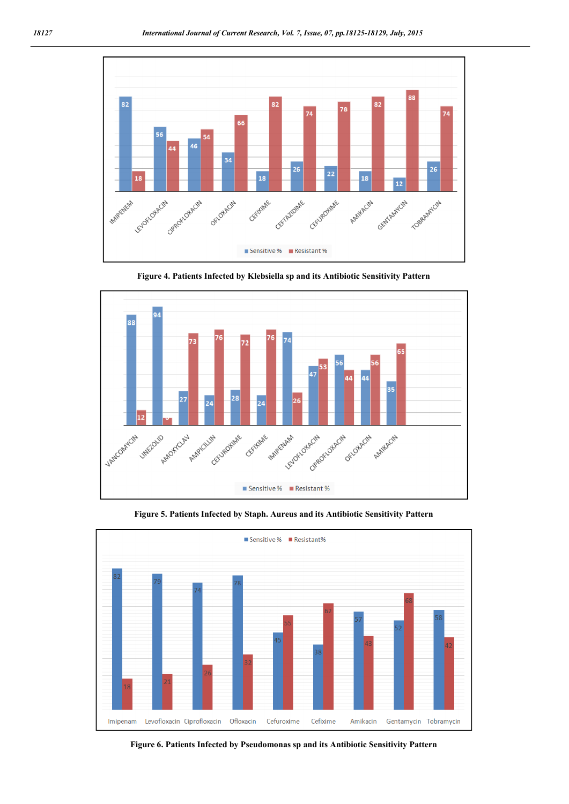

à.  $28$ 57 ū  $12$ Cotech chech AMOHICLEY VANCONTON City Interaction CEEVROXIME CEFHAME IMPERIAL Feland Capech orcational AMPIOLUM Achy Amikachy Sensitive % Resistant %

Figure 4. Patients Infected by Klebsiella sp and its Antibiotic Sensitivity Pattern

Figure 5. Patients Infected by Staph. Aureus and its Antibiotic Sensitivity Pattern



Figure 6. Patients Infected by Pseudomonas sp and its Antibiotic Sensitivity Pattern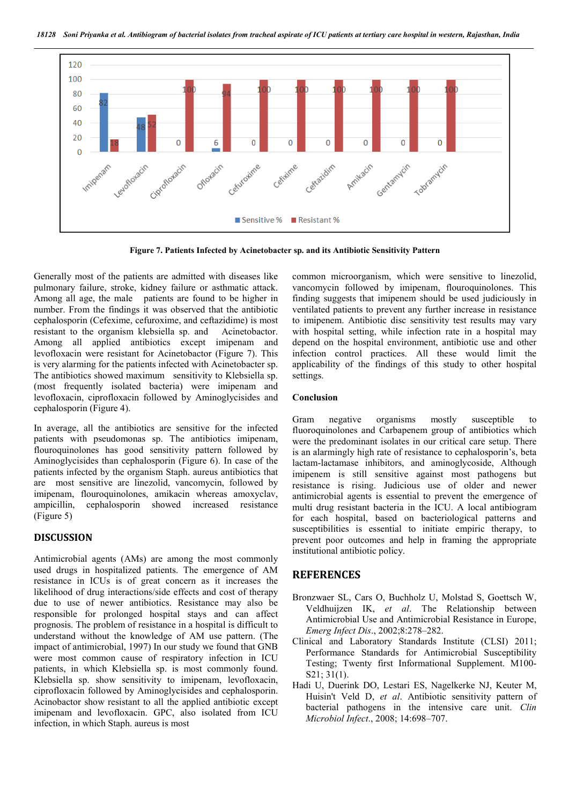

Figure 7. Patients Infected by Acinetobacter sp. and its Antibiotic Sensitivity Pattern

Generally most of the patients are admitted with diseases like pulmonary failure, stroke, kidney failure or asthmatic attack. Among all age, the male patients are found to be higher in number. From the findings it was observed that the antibiotic cephalosporin (Cefexime, cefuroxime, and ceftazidime) is most resistant to the organism klebsiella sp. and Acinetobactor. Among all applied antibiotics except imipenam and levofloxacin were resistant for Acinetobactor (Figure 7). This is very alarming for the patients infected with Acinetobacter sp. The antibiotics showed maximum sensitivity to Klebsiella sp. (most frequently isolated bacteria) were imipenam and levofloxacin, ciprofloxacin followed by Aminoglycisides and cephalosporin (Figure 4).

In average, all the antibiotics are sensitive for the infected patients with pseudomonas sp. The antibiotics imipenam, flouroquinolones has good sensitivity pattern followed by Aminoglycisides than cephalosporin (Figure 6). In case of the patients infected by the organism Staph. aureus antibiotics that are most sensitive are linezolid, vancomycin, followed by imipenam, flouroquinolones, amikacin whereas amoxyclav, ampicillin, cephalosporin showed increased resistance (Figure 5)

#### DISCUSSION

Antimicrobial agents (AMs) are among the most commonly used drugs in hospitalized patients. The emergence of AM resistance in ICUs is of great concern as it increases the likelihood of drug interactions/side effects and cost of therapy due to use of newer antibiotics. Resistance may also be responsible for prolonged hospital stays and can affect prognosis. The problem of resistance in a hospital is difficult to understand without the knowledge of AM use pattern. (The impact of antimicrobial, 1997) In our study we found that GNB were most common cause of respiratory infection in ICU patients, in which Klebsiella sp. is most commonly found. Klebsiella sp. show sensitivity to imipenam, levofloxacin, ciprofloxacin followed by Aminoglycisides and cephalosporin. Acinobactor show resistant to all the applied antibiotic except imipenam and levofloxacin. GPC, also isolated from ICU infection, in which Staph. aureus is most

common microorganism, which were sensitive to linezolid, vancomycin followed by imipenam, flouroquinolones. This finding suggests that imipenem should be used judiciously in ventilated patients to prevent any further increase in resistance to imipenem. Antibiotic disc sensitivity test results may vary with hospital setting, while infection rate in a hospital may depend on the hospital environment, antibiotic use and other infection control practices. All these would limit the applicability of the findings of this study to other hospital settings.

#### Conclusion

Gram negative organisms mostly susceptible to fluoroquinolones and Carbapenem group of antibiotics which were the predominant isolates in our critical care setup. There is an alarmingly high rate of resistance to cephalosporin's, beta lactam-lactamase inhibitors, and aminoglycoside, Although imipenem is still sensitive against most pathogens but resistance is rising. Judicious use of older and newer antimicrobial agents is essential to prevent the emergence of multi drug resistant bacteria in the ICU. A local antibiogram for each hospital, based on bacteriological patterns and susceptibilities is essential to initiate empiric therapy, to prevent poor outcomes and help in framing the appropriate institutional antibiotic policy.

#### **REFERENCES**

- Bronzwaer SL, Cars O, Buchholz U, Molstad S, Goettsch W, Veldhuijzen IK, *et al*. The Relationship between Antimicrobial Use and Antimicrobial Resistance in Europe, *Emerg Infect Dis*., 2002;8:278–282.
- Clinical and Laboratory Standards Institute (CLSI) 2011; Performance Standards for Antimicrobial Susceptibility Testing; Twenty first Informational Supplement. M100- S21; 31(1).
- Hadi U, Duerink DO, Lestari ES, Nagelkerke NJ, Keuter M, Huisin't Veld D, *et al*. Antibiotic sensitivity pattern of bacterial pathogens in the intensive care unit. *Clin Microbiol Infect*., 2008; 14:698–707.